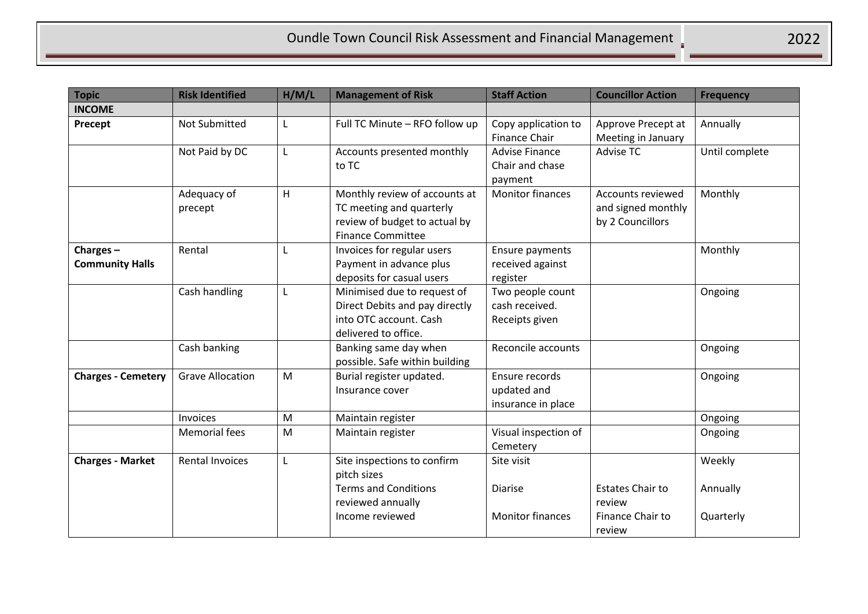| <b>Topic</b>                          | <b>Risk Identified</b>  | H/M/L | <b>Management of Risk</b>                                                                                              | <b>Staff Action</b>                                  | <b>Councillor Action</b>                                    | <b>Frequency</b>   |
|---------------------------------------|-------------------------|-------|------------------------------------------------------------------------------------------------------------------------|------------------------------------------------------|-------------------------------------------------------------|--------------------|
| <b>INCOME</b>                         |                         |       |                                                                                                                        |                                                      |                                                             |                    |
| Precept                               | Not Submitted           | L     | Full TC Minute - RFO follow up                                                                                         | Copy application to<br><b>Finance Chair</b>          | Approve Precept at<br>Meeting in January                    | Annually           |
|                                       | Not Paid by DC          | L     | Accounts presented monthly<br>to TC                                                                                    | <b>Advise Finance</b><br>Chair and chase<br>payment  | <b>Advise TC</b>                                            | Until complete     |
|                                       | Adequacy of<br>precept  | H     | Monthly review of accounts at<br>TC meeting and quarterly<br>review of budget to actual by<br><b>Finance Committee</b> | <b>Monitor finances</b>                              | Accounts reviewed<br>and signed monthly<br>by 2 Councillors | Monthly            |
| Charges $-$<br><b>Community Halls</b> | Rental                  | L     | Invoices for regular users<br>Payment in advance plus<br>deposits for casual users                                     | Ensure payments<br>received against<br>register      |                                                             | Monthly            |
|                                       | Cash handling           | L     | Minimised due to request of<br>Direct Debits and pay directly<br>into OTC account. Cash<br>delivered to office.        | Two people count<br>cash received.<br>Receipts given |                                                             | Ongoing            |
|                                       | Cash banking            |       | Banking same day when<br>possible. Safe within building                                                                | Reconcile accounts                                   |                                                             | Ongoing            |
| <b>Charges - Cemetery</b>             | <b>Grave Allocation</b> | M     | Burial register updated.<br>Insurance cover                                                                            | Ensure records<br>updated and<br>insurance in place  |                                                             | Ongoing            |
|                                       | Invoices                | M     | Maintain register                                                                                                      |                                                      |                                                             | Ongoing            |
|                                       | <b>Memorial fees</b>    | M     | Maintain register                                                                                                      | Visual inspection of<br>Cemetery                     |                                                             | Ongoing            |
| <b>Charges - Market</b>               | <b>Rental Invoices</b>  | L     | Site inspections to confirm<br>pitch sizes<br><b>Terms and Conditions</b><br>reviewed annually                         | Site visit<br><b>Diarise</b>                         | <b>Estates Chair to</b><br>review                           | Weekly<br>Annually |
|                                       |                         |       | Income reviewed                                                                                                        | <b>Monitor finances</b>                              | Finance Chair to<br>review                                  | Quarterly          |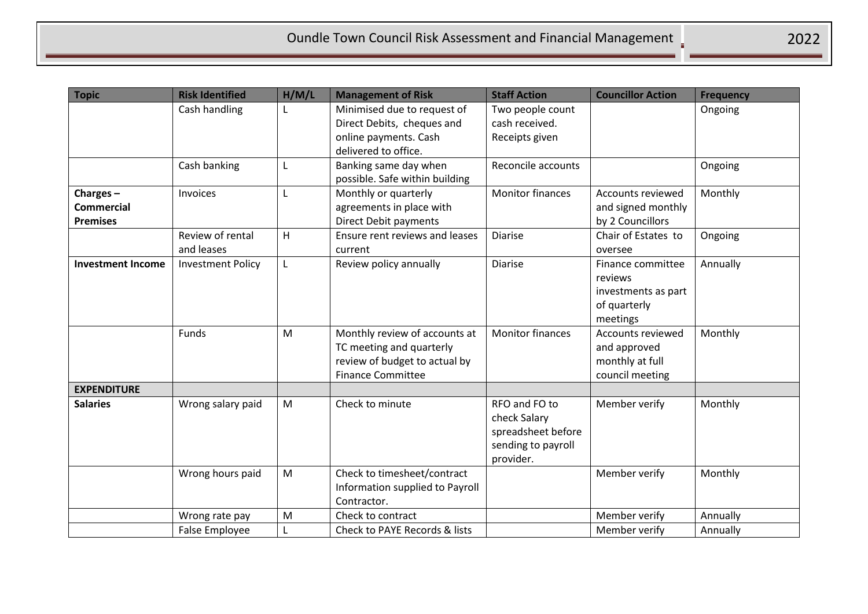| <b>Topic</b>                                     | <b>Risk Identified</b>         | H/M/L | <b>Management of Risk</b>                                                                                              | <b>Staff Action</b>                                                                    | <b>Councillor Action</b>                                                        | <b>Frequency</b> |
|--------------------------------------------------|--------------------------------|-------|------------------------------------------------------------------------------------------------------------------------|----------------------------------------------------------------------------------------|---------------------------------------------------------------------------------|------------------|
|                                                  | Cash handling                  |       | Minimised due to request of<br>Direct Debits, cheques and                                                              | Two people count<br>cash received.                                                     |                                                                                 | Ongoing          |
|                                                  |                                |       | online payments. Cash<br>delivered to office.                                                                          | Receipts given                                                                         |                                                                                 |                  |
|                                                  | Cash banking                   | L     | Banking same day when<br>possible. Safe within building                                                                | Reconcile accounts                                                                     |                                                                                 | Ongoing          |
| Charges-<br><b>Commercial</b><br><b>Premises</b> | Invoices                       | L     | Monthly or quarterly<br>agreements in place with<br><b>Direct Debit payments</b>                                       | <b>Monitor finances</b>                                                                | <b>Accounts reviewed</b><br>and signed monthly<br>by 2 Councillors              | Monthly          |
|                                                  | Review of rental<br>and leases | H     | Ensure rent reviews and leases<br>current                                                                              | <b>Diarise</b>                                                                         | Chair of Estates to<br>oversee                                                  | Ongoing          |
| <b>Investment Income</b>                         | <b>Investment Policy</b>       | L     | Review policy annually                                                                                                 | <b>Diarise</b>                                                                         | Finance committee<br>reviews<br>investments as part<br>of quarterly<br>meetings | Annually         |
|                                                  | Funds                          | M     | Monthly review of accounts at<br>TC meeting and quarterly<br>review of budget to actual by<br><b>Finance Committee</b> | <b>Monitor finances</b>                                                                | <b>Accounts reviewed</b><br>and approved<br>monthly at full<br>council meeting  | Monthly          |
| <b>EXPENDITURE</b>                               |                                |       |                                                                                                                        |                                                                                        |                                                                                 |                  |
| <b>Salaries</b>                                  | Wrong salary paid              | M     | Check to minute                                                                                                        | RFO and FO to<br>check Salary<br>spreadsheet before<br>sending to payroll<br>provider. | Member verify                                                                   | Monthly          |
|                                                  | Wrong hours paid               | M     | Check to timesheet/contract<br>Information supplied to Payroll<br>Contractor.                                          |                                                                                        | Member verify                                                                   | Monthly          |
|                                                  | Wrong rate pay                 | M     | Check to contract                                                                                                      |                                                                                        | Member verify                                                                   | Annually         |
|                                                  | <b>False Employee</b>          | L     | Check to PAYE Records & lists                                                                                          |                                                                                        | Member verify                                                                   | Annually         |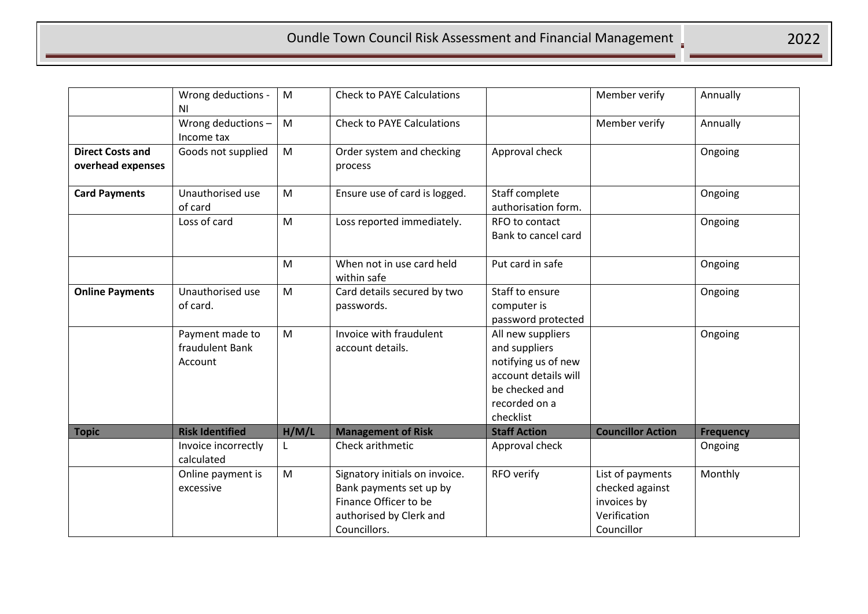|                                              | Wrong deductions -<br>ΝI                      | M     | <b>Check to PAYE Calculations</b>                                                                                             |                                                                                                                                   | Member verify                                                                    | Annually         |
|----------------------------------------------|-----------------------------------------------|-------|-------------------------------------------------------------------------------------------------------------------------------|-----------------------------------------------------------------------------------------------------------------------------------|----------------------------------------------------------------------------------|------------------|
|                                              | Wrong deductions-<br>Income tax               | M     | <b>Check to PAYE Calculations</b>                                                                                             |                                                                                                                                   | Member verify                                                                    | Annually         |
| <b>Direct Costs and</b><br>overhead expenses | Goods not supplied                            | M     | Order system and checking<br>process                                                                                          | Approval check                                                                                                                    |                                                                                  | Ongoing          |
| <b>Card Payments</b>                         | Unauthorised use<br>of card                   | M     | Ensure use of card is logged.                                                                                                 | Staff complete<br>authorisation form.                                                                                             |                                                                                  | Ongoing          |
|                                              | Loss of card                                  | M     | Loss reported immediately.                                                                                                    | RFO to contact<br>Bank to cancel card                                                                                             |                                                                                  | Ongoing          |
|                                              |                                               | M     | When not in use card held<br>within safe                                                                                      | Put card in safe                                                                                                                  |                                                                                  | Ongoing          |
| <b>Online Payments</b>                       | Unauthorised use<br>of card.                  | M     | Card details secured by two<br>passwords.                                                                                     | Staff to ensure<br>computer is<br>password protected                                                                              |                                                                                  | Ongoing          |
|                                              | Payment made to<br>fraudulent Bank<br>Account | M     | Invoice with fraudulent<br>account details.                                                                                   | All new suppliers<br>and suppliers<br>notifying us of new<br>account details will<br>be checked and<br>recorded on a<br>checklist |                                                                                  | Ongoing          |
| <b>Topic</b>                                 | <b>Risk Identified</b>                        | H/M/L | <b>Management of Risk</b>                                                                                                     | <b>Staff Action</b>                                                                                                               | <b>Councillor Action</b>                                                         | <b>Frequency</b> |
|                                              | Invoice incorrectly<br>calculated             | L     | Check arithmetic                                                                                                              | Approval check                                                                                                                    |                                                                                  | Ongoing          |
|                                              | Online payment is<br>excessive                | M     | Signatory initials on invoice.<br>Bank payments set up by<br>Finance Officer to be<br>authorised by Clerk and<br>Councillors. | RFO verify                                                                                                                        | List of payments<br>checked against<br>invoices by<br>Verification<br>Councillor | Monthly          |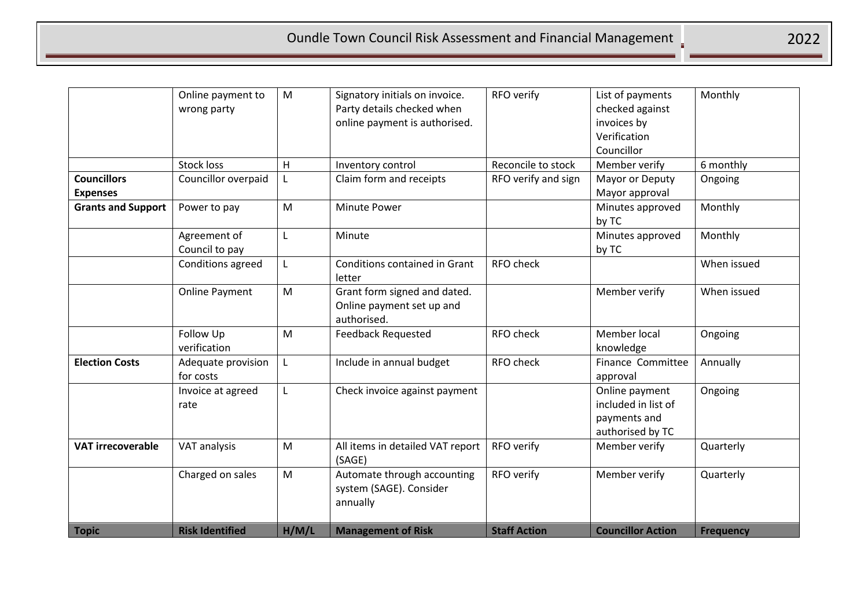## Oundle Town Council Risk Assessment and Financial Management

|                           | Online payment to               | M            | Signatory initials on invoice.                                           | RFO verify          | List of payments                                                          | Monthly          |
|---------------------------|---------------------------------|--------------|--------------------------------------------------------------------------|---------------------|---------------------------------------------------------------------------|------------------|
|                           | wrong party                     |              | Party details checked when                                               |                     | checked against                                                           |                  |
|                           |                                 |              | online payment is authorised.                                            |                     | invoices by                                                               |                  |
|                           |                                 |              |                                                                          |                     | Verification                                                              |                  |
|                           |                                 |              |                                                                          |                     | Councillor                                                                |                  |
|                           | <b>Stock loss</b>               | H            | Inventory control                                                        | Reconcile to stock  | Member verify                                                             | 6 monthly        |
| <b>Councillors</b>        | Councillor overpaid             | L            | Claim form and receipts                                                  | RFO verify and sign | Mayor or Deputy                                                           | Ongoing          |
| <b>Expenses</b>           |                                 |              |                                                                          |                     | Mayor approval                                                            |                  |
| <b>Grants and Support</b> | Power to pay                    | M            | Minute Power                                                             |                     | Minutes approved<br>by TC                                                 | Monthly          |
|                           | Agreement of                    | L            | Minute                                                                   |                     | Minutes approved                                                          | Monthly          |
|                           | Council to pay                  |              |                                                                          |                     | by TC                                                                     |                  |
|                           | <b>Conditions agreed</b>        | L            | <b>Conditions contained in Grant</b><br>letter                           | <b>RFO check</b>    |                                                                           | When issued      |
|                           | <b>Online Payment</b>           | M            | Grant form signed and dated.<br>Online payment set up and<br>authorised. |                     | Member verify                                                             | When issued      |
|                           | Follow Up<br>verification       | M            | <b>Feedback Requested</b>                                                | RFO check           | Member local<br>knowledge                                                 | Ongoing          |
| <b>Election Costs</b>     | Adequate provision<br>for costs | $\mathsf{L}$ | Include in annual budget                                                 | <b>RFO check</b>    | Finance Committee<br>approval                                             | Annually         |
|                           | Invoice at agreed<br>rate       | L            | Check invoice against payment                                            |                     | Online payment<br>included in list of<br>payments and<br>authorised by TC | Ongoing          |
| <b>VAT irrecoverable</b>  | VAT analysis                    | M            | All items in detailed VAT report<br>(SAGE)                               | RFO verify          | Member verify                                                             | Quarterly        |
|                           | Charged on sales                | M            | Automate through accounting<br>system (SAGE). Consider<br>annually       | RFO verify          | Member verify                                                             | Quarterly        |
| <b>Topic</b>              | <b>Risk Identified</b>          | H/M/L        | <b>Management of Risk</b>                                                | <b>Staff Action</b> | <b>Councillor Action</b>                                                  | <b>Frequency</b> |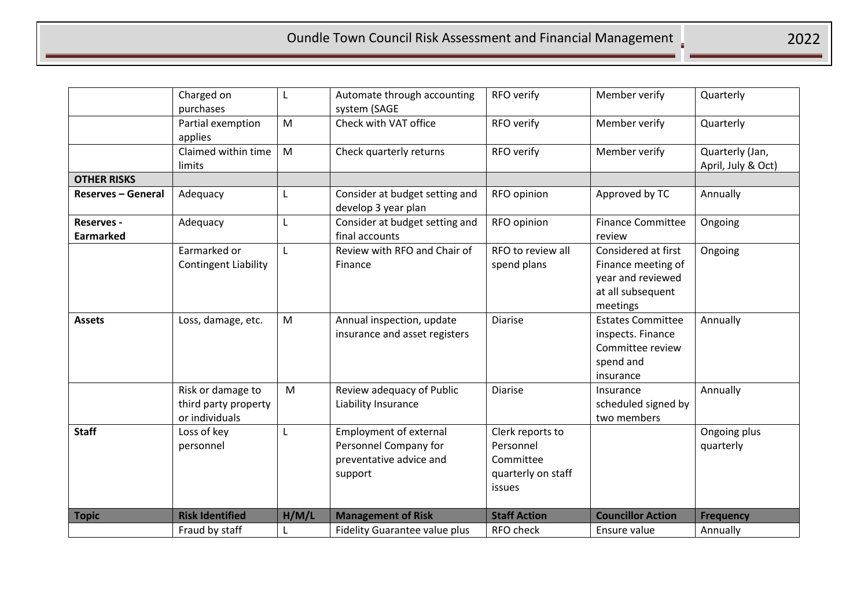|                                       | Charged on<br>purchases                                     | L     | Automate through accounting<br>system (SAGE                                                  | RFO verify                                                                 | Member verify                                                                                   | Quarterly                             |
|---------------------------------------|-------------------------------------------------------------|-------|----------------------------------------------------------------------------------------------|----------------------------------------------------------------------------|-------------------------------------------------------------------------------------------------|---------------------------------------|
|                                       | Partial exemption<br>applies                                | M     | Check with VAT office                                                                        | RFO verify                                                                 | Member verify                                                                                   | Quarterly                             |
|                                       | Claimed within time<br>limits                               | M     | Check quarterly returns                                                                      | RFO verify                                                                 | Member verify                                                                                   | Quarterly (Jan,<br>April, July & Oct) |
| <b>OTHER RISKS</b>                    |                                                             |       |                                                                                              |                                                                            |                                                                                                 |                                       |
| <b>Reserves - General</b>             | Adequacy                                                    | L     | Consider at budget setting and<br>develop 3 year plan                                        | RFO opinion                                                                | Approved by TC                                                                                  | Annually                              |
| <b>Reserves -</b><br><b>Earmarked</b> | Adequacy                                                    | L     | Consider at budget setting and<br>final accounts                                             | RFO opinion                                                                | <b>Finance Committee</b><br>review                                                              | Ongoing                               |
|                                       | Earmarked or<br><b>Contingent Liability</b>                 | L     | Review with RFO and Chair of<br>Finance                                                      | RFO to review all<br>spend plans                                           | Considered at first<br>Finance meeting of<br>year and reviewed<br>at all subsequent<br>meetings | Ongoing                               |
| <b>Assets</b>                         | Loss, damage, etc.                                          | M     | Annual inspection, update<br>insurance and asset registers                                   | <b>Diarise</b>                                                             | <b>Estates Committee</b><br>inspects. Finance<br>Committee review<br>spend and<br>insurance     | Annually                              |
|                                       | Risk or damage to<br>third party property<br>or individuals | M     | Review adequacy of Public<br>Liability Insurance                                             | Diarise                                                                    | Insurance<br>scheduled signed by<br>two members                                                 | Annually                              |
| <b>Staff</b>                          | Loss of key<br>personnel                                    | L     | <b>Employment of external</b><br>Personnel Company for<br>preventative advice and<br>support | Clerk reports to<br>Personnel<br>Committee<br>quarterly on staff<br>issues |                                                                                                 | Ongoing plus<br>quarterly             |
| <b>Topic</b>                          | <b>Risk Identified</b>                                      | H/M/L | <b>Management of Risk</b>                                                                    | <b>Staff Action</b>                                                        | <b>Councillor Action</b>                                                                        | <b>Frequency</b>                      |
|                                       | Fraud by staff                                              |       | Fidelity Guarantee value plus                                                                | RFO check                                                                  | Ensure value                                                                                    | Annually                              |